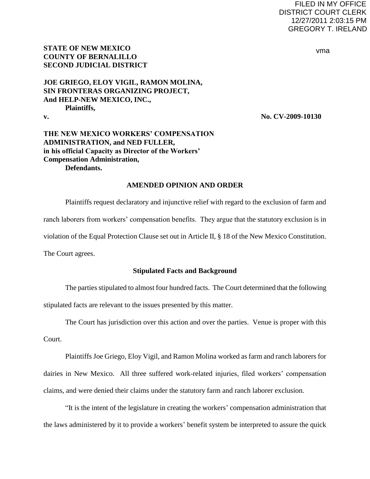## FILED IN MY OFFICE DISTRICT COURT CLERK 12/27/2011 2:03:15 PM GREGORY T. IRELAND

#### vma

## **STATE OF NEW MEXICO COUNTY OF BERNALILLO SECOND JUDICIAL DISTRICT**

# **JOE GRIEGO, ELOY VIGIL, RAMON MOLINA, SIN FRONTERAS ORGANIZING PROJECT, And HELP-NEW MEXICO, INC., Plaintiffs,**

**v. No. CV-2009-10130**

## **THE NEW MEXICO WORKERS' COMPENSATION ADMINISTRATION, and NED FULLER, in his official Capacity as Director of the Workers' Compensation Administration, Defendants.**

### **AMENDED OPINION AND ORDER**

Plaintiffs request declaratory and injunctive relief with regard to the exclusion of farm and ranch laborers from workers' compensation benefits. They argue that the statutory exclusion is in violation of the Equal Protection Clause set out in Article II, § 18 of the New Mexico Constitution. The Court agrees.

### **Stipulated Facts and Background**

 The parties stipulated to almost four hundred facts. The Court determined that the following stipulated facts are relevant to the issues presented by this matter.

The Court has jurisdiction over this action and over the parties. Venue is proper with this

Court.

 Plaintiffs Joe Griego, Eloy Vigil, and Ramon Molina worked as farm and ranch laborers for dairies in New Mexico. All three suffered work-related injuries, filed workers" compensation claims, and were denied their claims under the statutory farm and ranch laborer exclusion.

"It is the intent of the legislature in creating the workers" compensation administration that the laws administered by it to provide a workers" benefit system be interpreted to assure the quick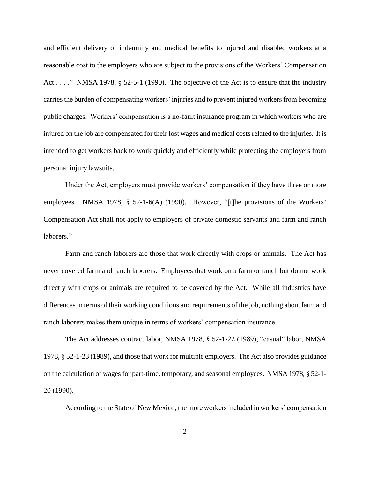and efficient delivery of indemnity and medical benefits to injured and disabled workers at a reasonable cost to the employers who are subject to the provisions of the Workers" Compensation Act . . . ." NMSA 1978, § 52-5-1 (1990). The objective of the Act is to ensure that the industry carries the burden of compensating workers' injuries and to prevent injured workers from becoming public charges. Workers' compensation is a no-fault insurance program in which workers who are injured on the job are compensated for their lost wages and medical costs related to the injuries. It is intended to get workers back to work quickly and efficiently while protecting the employers from personal injury lawsuits.

Under the Act, employers must provide workers' compensation if they have three or more employees. NMSA 1978, § 52-1-6(A) (1990). However, "[t]he provisions of the Workers' Compensation Act shall not apply to employers of private domestic servants and farm and ranch laborers."

Farm and ranch laborers are those that work directly with crops or animals. The Act has never covered farm and ranch laborers. Employees that work on a farm or ranch but do not work directly with crops or animals are required to be covered by the Act. While all industries have differences in terms of their working conditions and requirements of the job, nothing about farm and ranch laborers makes them unique in terms of workers" compensation insurance.

The Act addresses contract labor, NMSA 1978, § 52-1-22 (1989), "casual" labor, NMSA 1978, § 52-1-23 (1989), and those that work for multiple employers. The Act also provides guidance on the calculation of wages for part-time, temporary, and seasonal employees. NMSA 1978, § 52-1- 20 (1990).

According to the State of New Mexico, the more workers included in workers" compensation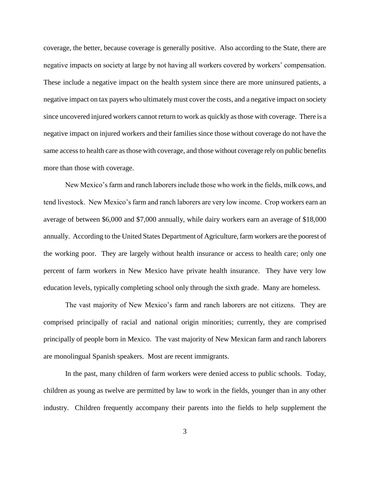coverage, the better, because coverage is generally positive. Also according to the State, there are negative impacts on society at large by not having all workers covered by workers" compensation. These include a negative impact on the health system since there are more uninsured patients, a negative impact on tax payers who ultimately must cover the costs, and a negative impact on society since uncovered injured workers cannot return to work as quickly as those with coverage. There is a negative impact on injured workers and their families since those without coverage do not have the same access to health care as those with coverage, and those without coverage rely on public benefits more than those with coverage.

New Mexico"s farm and ranch laborers include those who work in the fields, milk cows, and tend livestock. New Mexico"s farm and ranch laborers are very low income. Crop workers earn an average of between \$6,000 and \$7,000 annually, while dairy workers earn an average of \$18,000 annually. According to the United States Department of Agriculture, farm workers are the poorest of the working poor. They are largely without health insurance or access to health care; only one percent of farm workers in New Mexico have private health insurance. They have very low education levels, typically completing school only through the sixth grade. Many are homeless.

The vast majority of New Mexico's farm and ranch laborers are not citizens. They are comprised principally of racial and national origin minorities; currently, they are comprised principally of people born in Mexico. The vast majority of New Mexican farm and ranch laborers are monolingual Spanish speakers. Most are recent immigrants.

In the past, many children of farm workers were denied access to public schools. Today, children as young as twelve are permitted by law to work in the fields, younger than in any other industry. Children frequently accompany their parents into the fields to help supplement the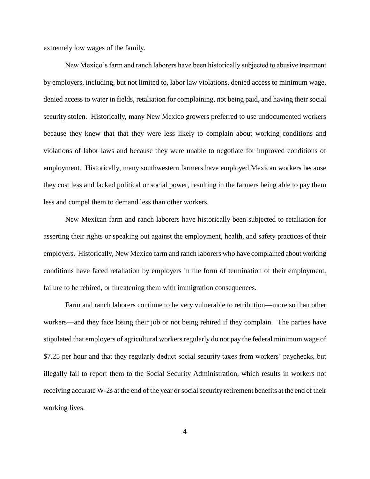extremely low wages of the family.

New Mexico"s farm and ranch laborers have been historically subjected to abusive treatment by employers, including, but not limited to, labor law violations, denied access to minimum wage, denied access to water in fields, retaliation for complaining, not being paid, and having their social security stolen. Historically, many New Mexico growers preferred to use undocumented workers because they knew that that they were less likely to complain about working conditions and violations of labor laws and because they were unable to negotiate for improved conditions of employment. Historically, many southwestern farmers have employed Mexican workers because they cost less and lacked political or social power, resulting in the farmers being able to pay them less and compel them to demand less than other workers.

New Mexican farm and ranch laborers have historically been subjected to retaliation for asserting their rights or speaking out against the employment, health, and safety practices of their employers. Historically, New Mexico farm and ranch laborers who have complained about working conditions have faced retaliation by employers in the form of termination of their employment, failure to be rehired, or threatening them with immigration consequences.

Farm and ranch laborers continue to be very vulnerable to retribution—more so than other workers—and they face losing their job or not being rehired if they complain. The parties have stipulated that employers of agricultural workers regularly do not pay the federal minimum wage of \$7.25 per hour and that they regularly deduct social security taxes from workers' paychecks, but illegally fail to report them to the Social Security Administration, which results in workers not receiving accurate W-2s at the end of the year or social security retirement benefits at the end of their working lives.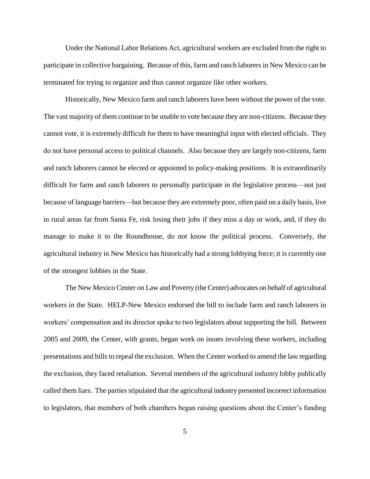Under the National Labor Relations Act, agricultural workers are excluded from the right to participate in collective bargaining. Because of this, farm and ranch laborers in New Mexico can be terminated for trying to organize and thus cannot organize like other workers.

Historically, New Mexico farm and ranch laborers have been without the power of the vote. The vast majority of them continue to be unable to vote because they are non-citizens. Because they cannot vote, it is extremely difficult for them to have meaningful input with elected officials. They do not have personal access to political channels. Also because they are largely non-citizens, farm and ranch laborers cannot be elected or appointed to policy-making positions. It is extraordinarily difficult for farm and ranch laborers to personally participate in the legislative process—not just because of language barriers—but because they are extremely poor, often paid on a daily basis, live in rural areas far from Santa Fe, risk losing their jobs if they miss a day or work, and, if they do manage to make it to the Roundhouse, do not know the political process. Conversely, the agricultural industry in New Mexico has historically had a strong lobbying force; it is currently one of the strongest lobbies in the State.

The New Mexico Center on Law and Poverty (the Center) advocates on behalf of agricultural workers in the State. HELP-New Mexico endorsed the bill to include farm and ranch laborers in workers" compensation and its director spoke to two legislators about supporting the bill. Between 2005 and 2009, the Center, with grants, began work on issues involving these workers, including presentations and bills to repeal the exclusion. When the Center worked to amend the law regarding the exclusion, they faced retaliation. Several members of the agricultural industry lobby publically called them liars. The parties stipulated that the agricultural industry presented incorrect information to legislators, that members of both chambers began raising questions about the Center"s funding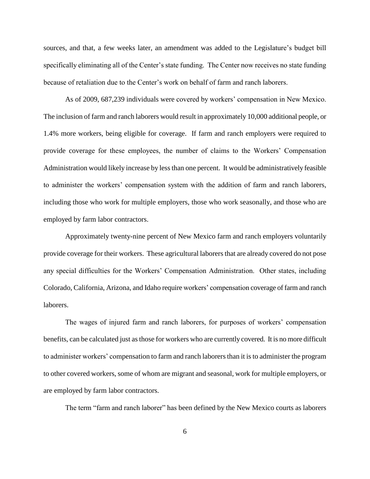sources, and that, a few weeks later, an amendment was added to the Legislature's budget bill specifically eliminating all of the Center's state funding. The Center now receives no state funding because of retaliation due to the Center"s work on behalf of farm and ranch laborers.

As of 2009, 687,239 individuals were covered by workers' compensation in New Mexico. The inclusion of farm and ranch laborers would result in approximately 10,000 additional people, or 1.4% more workers, being eligible for coverage. If farm and ranch employers were required to provide coverage for these employees, the number of claims to the Workers" Compensation Administration would likely increase by less than one percent. It would be administratively feasible to administer the workers" compensation system with the addition of farm and ranch laborers, including those who work for multiple employers, those who work seasonally, and those who are employed by farm labor contractors.

Approximately twenty-nine percent of New Mexico farm and ranch employers voluntarily provide coverage for their workers. These agricultural laborers that are already covered do not pose any special difficulties for the Workers" Compensation Administration. Other states, including Colorado, California, Arizona, and Idaho require workers" compensation coverage of farm and ranch laborers.

The wages of injured farm and ranch laborers, for purposes of workers" compensation benefits, can be calculated just as those for workers who are currently covered. It is no more difficult to administer workers" compensation to farm and ranch laborers than it is to administer the program to other covered workers, some of whom are migrant and seasonal, work for multiple employers, or are employed by farm labor contractors.

The term "farm and ranch laborer" has been defined by the New Mexico courts as laborers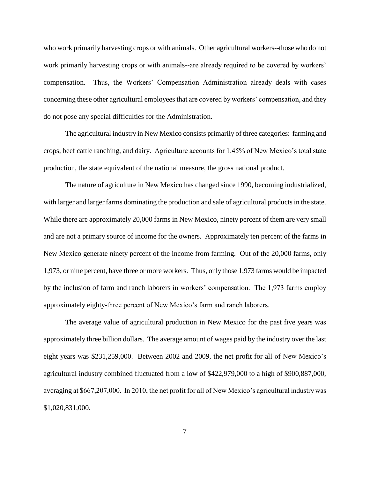who work primarily harvesting crops or with animals. Other agricultural workers--those who do not work primarily harvesting crops or with animals--are already required to be covered by workers' compensation. Thus, the Workers" Compensation Administration already deals with cases concerning these other agricultural employees that are covered by workers' compensation, and they do not pose any special difficulties for the Administration.

The agricultural industry in New Mexico consists primarily of three categories: farming and crops, beef cattle ranching, and dairy. Agriculture accounts for 1.45% of New Mexico"s total state production, the state equivalent of the national measure, the gross national product.

The nature of agriculture in New Mexico has changed since 1990, becoming industrialized, with larger and larger farms dominating the production and sale of agricultural products in the state. While there are approximately 20,000 farms in New Mexico, ninety percent of them are very small and are not a primary source of income for the owners. Approximately ten percent of the farms in New Mexico generate ninety percent of the income from farming. Out of the 20,000 farms, only 1,973, or nine percent, have three or more workers. Thus, only those 1,973 farms would be impacted by the inclusion of farm and ranch laborers in workers" compensation. The 1,973 farms employ approximately eighty-three percent of New Mexico"s farm and ranch laborers.

The average value of agricultural production in New Mexico for the past five years was approximately three billion dollars. The average amount of wages paid by the industry over the last eight years was \$231,259,000. Between 2002 and 2009, the net profit for all of New Mexico's agricultural industry combined fluctuated from a low of \$422,979,000 to a high of \$900,887,000, averaging at \$667,207,000. In 2010, the net profit for all of New Mexico's agricultural industry was \$1,020,831,000.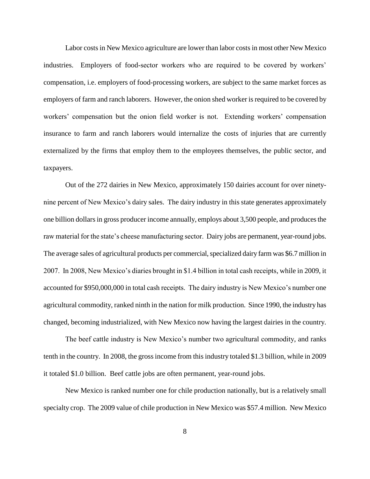Labor costs in New Mexico agriculture are lower than labor costs in most other New Mexico industries. Employers of food-sector workers who are required to be covered by workers" compensation, i.e. employers of food-processing workers, are subject to the same market forces as employers of farm and ranch laborers. However, the onion shed worker is required to be covered by workers' compensation but the onion field worker is not. Extending workers' compensation insurance to farm and ranch laborers would internalize the costs of injuries that are currently externalized by the firms that employ them to the employees themselves, the public sector, and taxpayers.

Out of the 272 dairies in New Mexico, approximately 150 dairies account for over ninetynine percent of New Mexico's dairy sales. The dairy industry in this state generates approximately one billion dollars in gross producer income annually, employs about 3,500 people, and produces the raw material for the state's cheese manufacturing sector. Dairy jobs are permanent, year-round jobs. The average sales of agricultural products per commercial, specialized dairy farm was \$6.7 million in 2007. In 2008, New Mexico"s diaries brought in \$1.4 billion in total cash receipts, while in 2009, it accounted for \$950,000,000 in total cash receipts. The dairy industry is New Mexico's number one agricultural commodity, ranked ninth in the nation for milk production. Since 1990, the industry has changed, becoming industrialized, with New Mexico now having the largest dairies in the country.

The beef cattle industry is New Mexico's number two agricultural commodity, and ranks tenth in the country. In 2008, the gross income from this industry totaled \$1.3 billion, while in 2009 it totaled \$1.0 billion. Beef cattle jobs are often permanent, year-round jobs.

New Mexico is ranked number one for chile production nationally, but is a relatively small specialty crop. The 2009 value of chile production in New Mexico was \$57.4 million. New Mexico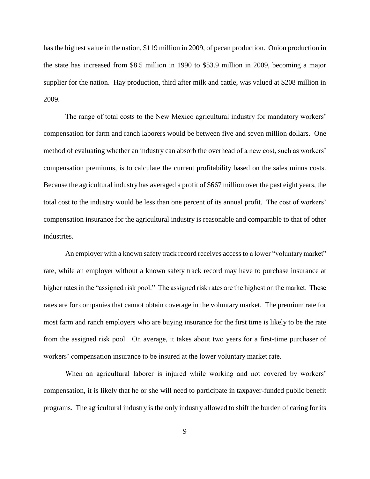has the highest value in the nation, \$119 million in 2009, of pecan production. Onion production in the state has increased from \$8.5 million in 1990 to \$53.9 million in 2009, becoming a major supplier for the nation. Hay production, third after milk and cattle, was valued at \$208 million in 2009.

The range of total costs to the New Mexico agricultural industry for mandatory workers' compensation for farm and ranch laborers would be between five and seven million dollars. One method of evaluating whether an industry can absorb the overhead of a new cost, such as workers" compensation premiums, is to calculate the current profitability based on the sales minus costs. Because the agricultural industry has averaged a profit of \$667 million over the past eight years, the total cost to the industry would be less than one percent of its annual profit. The cost of workers" compensation insurance for the agricultural industry is reasonable and comparable to that of other industries.

An employer with a known safety track record receives access to a lower "voluntary market" rate, while an employer without a known safety track record may have to purchase insurance at higher rates in the "assigned risk pool." The assigned risk rates are the highest on the market. These rates are for companies that cannot obtain coverage in the voluntary market. The premium rate for most farm and ranch employers who are buying insurance for the first time is likely to be the rate from the assigned risk pool. On average, it takes about two years for a first-time purchaser of workers" compensation insurance to be insured at the lower voluntary market rate.

When an agricultural laborer is injured while working and not covered by workers' compensation, it is likely that he or she will need to participate in taxpayer-funded public benefit programs. The agricultural industry is the only industry allowed to shift the burden of caring for its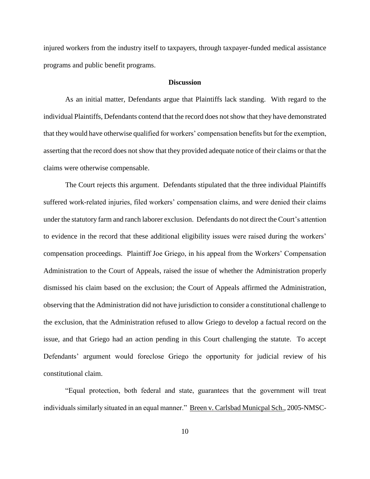injured workers from the industry itself to taxpayers, through taxpayer-funded medical assistance programs and public benefit programs.

#### **Discussion**

As an initial matter, Defendants argue that Plaintiffs lack standing. With regard to the individual Plaintiffs, Defendants contend that the record does not show that they have demonstrated that they would have otherwise qualified for workers" compensation benefits but for the exemption, asserting that the record does not show that they provided adequate notice of their claims or that the claims were otherwise compensable.

The Court rejects this argument. Defendants stipulated that the three individual Plaintiffs suffered work-related injuries, filed workers' compensation claims, and were denied their claims under the statutory farm and ranch laborer exclusion. Defendants do not direct the Court's attention to evidence in the record that these additional eligibility issues were raised during the workers" compensation proceedings. Plaintiff Joe Griego, in his appeal from the Workers" Compensation Administration to the Court of Appeals, raised the issue of whether the Administration properly dismissed his claim based on the exclusion; the Court of Appeals affirmed the Administration, observing that the Administration did not have jurisdiction to consider a constitutional challenge to the exclusion, that the Administration refused to allow Griego to develop a factual record on the issue, and that Griego had an action pending in this Court challenging the statute. To accept Defendants' argument would foreclose Griego the opportunity for judicial review of his constitutional claim.

"Equal protection, both federal and state, guarantees that the government will treat individuals similarly situated in an equal manner." Breen v. Carlsbad Municpal Sch., 2005-NMSC-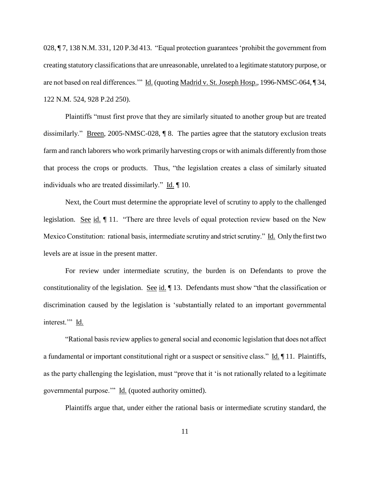028, ¶ 7, 138 N.M. 331, 120 P.3d 413. "Equal protection guarantees 'prohibit the government from creating statutory classifications that are unreasonable, unrelated to a legitimate statutory purpose, or are not based on real differences."" Id. (quoting Madrid v. St. Joseph Hosp., 1996-NMSC-064, ¶ 34, 122 N.M. 524, 928 P.2d 250).

Plaintiffs "must first prove that they are similarly situated to another group but are treated dissimilarly." Breen, 2005-NMSC-028, ¶ 8. The parties agree that the statutory exclusion treats farm and ranch laborers who work primarily harvesting crops or with animals differently from those that process the crops or products. Thus, "the legislation creates a class of similarly situated individuals who are treated dissimilarly." Id. ¶ 10.

Next, the Court must determine the appropriate level of scrutiny to apply to the challenged legislation. See id.  $\parallel$  11. "There are three levels of equal protection review based on the New Mexico Constitution: rational basis, intermediate scrutiny and strict scrutiny." Id. Only the first two levels are at issue in the present matter.

For review under intermediate scrutiny, the burden is on Defendants to prove the constitutionality of the legislation. See id. 13. Defendants must show "that the classification or discrimination caused by the legislation is "substantially related to an important governmental interest." Id.

"Rational basis review applies to general social and economic legislation that does not affect a fundamental or important constitutional right or a suspect or sensitive class." Id. ¶ 11. Plaintiffs, as the party challenging the legislation, must "prove that it "is not rationally related to a legitimate governmental purpose."" Id. (quoted authority omitted).

Plaintiffs argue that, under either the rational basis or intermediate scrutiny standard, the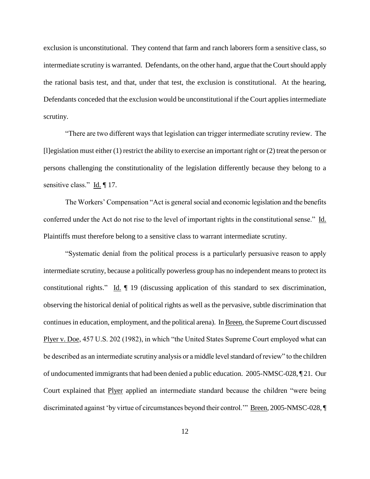exclusion is unconstitutional. They contend that farm and ranch laborers form a sensitive class, so intermediate scrutiny is warranted. Defendants, on the other hand, argue that the Court should apply the rational basis test, and that, under that test, the exclusion is constitutional. At the hearing, Defendants conceded that the exclusion would be unconstitutional if the Court applies intermediate scrutiny.

"There are two different ways that legislation can trigger intermediate scrutiny review. The [l]egislation must either (1) restrict the ability to exercise an important right or (2) treat the person or persons challenging the constitutionality of the legislation differently because they belong to a sensitive class." Id. ¶ 17.

The Workers' Compensation "Act is general social and economic legislation and the benefits conferred under the Act do not rise to the level of important rights in the constitutional sense." Id. Plaintiffs must therefore belong to a sensitive class to warrant intermediate scrutiny.

"Systematic denial from the political process is a particularly persuasive reason to apply intermediate scrutiny, because a politically powerless group has no independent means to protect its constitutional rights." Id. ¶ 19 (discussing application of this standard to sex discrimination, observing the historical denial of political rights as well as the pervasive, subtle discrimination that continues in education, employment, and the political arena). In Breen, the Supreme Court discussed Plyer v. Doe, 457 U.S. 202 (1982), in which "the United States Supreme Court employed what can be described as an intermediate scrutiny analysis or a middle level standard of review" to the children of undocumented immigrants that had been denied a public education. 2005-NMSC-028, ¶ 21. Our Court explained that Plyer applied an intermediate standard because the children "were being discriminated against "by virtue of circumstances beyond their control."" Breen, 2005-NMSC-028, ¶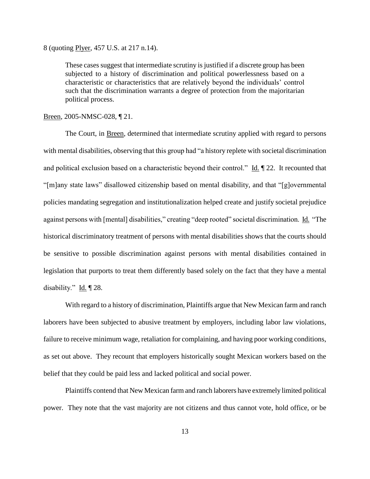8 (quoting Plyer, 457 U.S. at 217 n.14).

These cases suggest that intermediate scrutiny is justified if a discrete group has been subjected to a history of discrimination and political powerlessness based on a characteristic or characteristics that are relatively beyond the individuals" control such that the discrimination warrants a degree of protection from the majoritarian political process.

Breen, 2005-NMSC-028, ¶ 21.

The Court, in Breen, determined that intermediate scrutiny applied with regard to persons with mental disabilities, observing that this group had "a history replete with societal discrimination and political exclusion based on a characteristic beyond their control." Id. ¶ 22. It recounted that "[m]any state laws" disallowed citizenship based on mental disability, and that "[g]overnmental policies mandating segregation and institutionalization helped create and justify societal prejudice against persons with [mental] disabilities," creating "deep rooted" societal discrimination. Id. "The historical discriminatory treatment of persons with mental disabilities shows that the courts should be sensitive to possible discrimination against persons with mental disabilities contained in legislation that purports to treat them differently based solely on the fact that they have a mental disability."  $\underline{Id}$ .  $\P$  28.

With regard to a history of discrimination, Plaintiffs argue that New Mexican farm and ranch laborers have been subjected to abusive treatment by employers, including labor law violations, failure to receive minimum wage, retaliation for complaining, and having poor working conditions, as set out above. They recount that employers historically sought Mexican workers based on the belief that they could be paid less and lacked political and social power.

Plaintiffs contend that New Mexican farm and ranch laborers have extremely limited political power. They note that the vast majority are not citizens and thus cannot vote, hold office, or be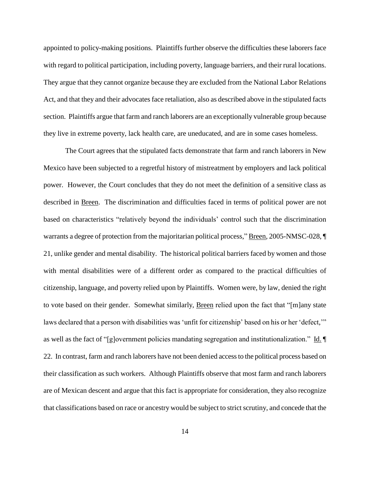appointed to policy-making positions. Plaintiffs further observe the difficulties these laborers face with regard to political participation, including poverty, language barriers, and their rural locations. They argue that they cannot organize because they are excluded from the National Labor Relations Act, and that they and their advocates face retaliation, also as described above in the stipulated facts section. Plaintiffs argue that farm and ranch laborers are an exceptionally vulnerable group because they live in extreme poverty, lack health care, are uneducated, and are in some cases homeless.

The Court agrees that the stipulated facts demonstrate that farm and ranch laborers in New Mexico have been subjected to a regretful history of mistreatment by employers and lack political power. However, the Court concludes that they do not meet the definition of a sensitive class as described in Breen. The discrimination and difficulties faced in terms of political power are not based on characteristics "relatively beyond the individuals" control such that the discrimination warrants a degree of protection from the majoritarian political process," Breen, 2005-NMSC-028, ¶ 21, unlike gender and mental disability. The historical political barriers faced by women and those with mental disabilities were of a different order as compared to the practical difficulties of citizenship, language, and poverty relied upon by Plaintiffs. Women were, by law, denied the right to vote based on their gender. Somewhat similarly, Breen relied upon the fact that "[m]any state laws declared that a person with disabilities was 'unfit for citizenship' based on his or her 'defect,'" as well as the fact of "[g]overnment policies mandating segregation and institutionalization." Id. ¶ 22. In contrast, farm and ranch laborers have not been denied access to the political process based on their classification as such workers. Although Plaintiffs observe that most farm and ranch laborers are of Mexican descent and argue that this fact is appropriate for consideration, they also recognize that classifications based on race or ancestry would be subject to strict scrutiny, and concede that the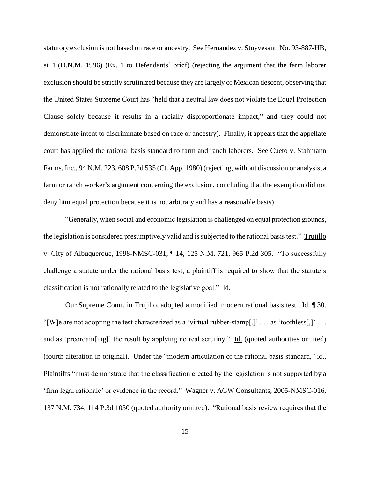statutory exclusion is not based on race or ancestry. See Hernandez v. Stuyvesant, No. 93-887-HB, at 4 (D.N.M. 1996) (Ex. 1 to Defendants" brief) (rejecting the argument that the farm laborer exclusion should be strictly scrutinized because they are largely of Mexican descent, observing that the United States Supreme Court has "held that a neutral law does not violate the Equal Protection Clause solely because it results in a racially disproportionate impact," and they could not demonstrate intent to discriminate based on race or ancestry). Finally, it appears that the appellate court has applied the rational basis standard to farm and ranch laborers. See Cueto v. Stahmann Farms, Inc., 94 N.M. 223, 608 P.2d 535 (Ct. App. 1980) (rejecting, without discussion or analysis, a farm or ranch worker's argument concerning the exclusion, concluding that the exemption did not deny him equal protection because it is not arbitrary and has a reasonable basis).

"Generally, when social and economic legislation is challenged on equal protection grounds, the legislation is considered presumptively valid and is subjected to the rational basis test." Trujillo v. City of Albuquerque, 1998-NMSC-031, ¶ 14, 125 N.M. 721, 965 P.2d 305. "To successfully challenge a statute under the rational basis test, a plaintiff is required to show that the statute"s classification is not rationally related to the legislative goal." Id.

Our Supreme Court, in Trujillo, adopted a modified, modern rational basis test. Id. ¶ 30. "[W]e are not adopting the test characterized as a 'virtual rubber-stamp[,]' . . . as 'toothless[,]' . . . and as 'preordain[ing]' the result by applying no real scrutiny." Id. (quoted authorities omitted) (fourth alteration in original). Under the "modern articulation of the rational basis standard," id., Plaintiffs "must demonstrate that the classification created by the legislation is not supported by a "firm legal rationale" or evidence in the record." Wagner v. AGW Consultants, 2005-NMSC-016, 137 N.M. 734, 114 P.3d 1050 (quoted authority omitted). "Rational basis review requires that the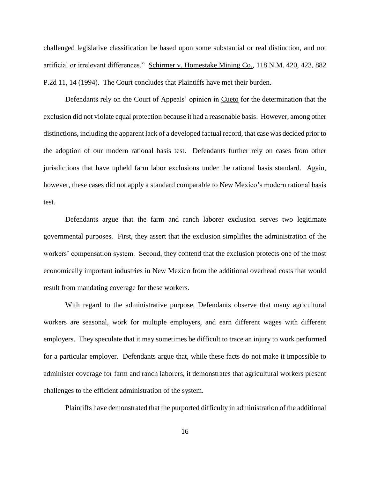challenged legislative classification be based upon some substantial or real distinction, and not artificial or irrelevant differences." Schirmer v. Homestake Mining Co., 118 N.M. 420, 423, 882 P.2d 11, 14 (1994). The Court concludes that Plaintiffs have met their burden.

Defendants rely on the Court of Appeals' opinion in Cueto for the determination that the exclusion did not violate equal protection because it had a reasonable basis. However, among other distinctions, including the apparent lack of a developed factual record, that case was decided prior to the adoption of our modern rational basis test. Defendants further rely on cases from other jurisdictions that have upheld farm labor exclusions under the rational basis standard. Again, however, these cases did not apply a standard comparable to New Mexico's modern rational basis test.

Defendants argue that the farm and ranch laborer exclusion serves two legitimate governmental purposes. First, they assert that the exclusion simplifies the administration of the workers" compensation system. Second, they contend that the exclusion protects one of the most economically important industries in New Mexico from the additional overhead costs that would result from mandating coverage for these workers.

With regard to the administrative purpose, Defendants observe that many agricultural workers are seasonal, work for multiple employers, and earn different wages with different employers. They speculate that it may sometimes be difficult to trace an injury to work performed for a particular employer. Defendants argue that, while these facts do not make it impossible to administer coverage for farm and ranch laborers, it demonstrates that agricultural workers present challenges to the efficient administration of the system.

Plaintiffs have demonstrated that the purported difficulty in administration of the additional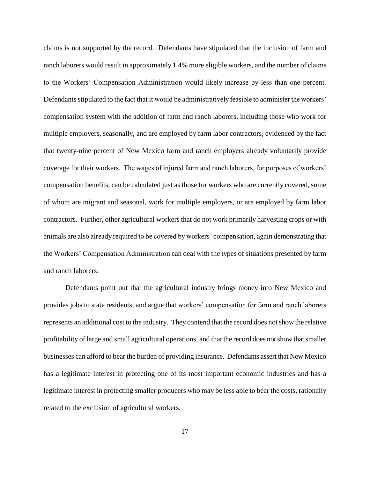claims is not supported by the record. Defendants have stipulated that the inclusion of farm and ranch laborers would result in approximately 1.4% more eligible workers, and the number of claims to the Workers" Compensation Administration would likely increase by less than one percent. Defendants stipulated to the fact that it would be administratively feasible to administer the workers' compensation system with the addition of farm and ranch laborers, including those who work for multiple employers, seasonally, and are employed by farm labor contractors, evidenced by the fact that twenty-nine percent of New Mexico farm and ranch employers already voluntarily provide coverage for their workers. The wages of injured farm and ranch laborers, for purposes of workers" compensation benefits, can be calculated just as those for workers who are currently covered, some of whom are migrant and seasonal, work for multiple employers, or are employed by farm labor contractors. Further, other agricultural workers that do not work primarily harvesting crops or with animals are also already required to be covered by workers' compensation, again demonstrating that the Workers" Compensation Administration can deal with the types of situations presented by farm and ranch laborers.

Defendants point out that the agricultural industry brings money into New Mexico and provides jobs to state residents, and argue that workers" compensation for farm and ranch laborers represents an additional cost to the industry. They contend that the record does not show the relative profitability of large and small agricultural operations, and that the record does not show that smaller businesses can afford to bear the burden of providing insurance. Defendants assert that New Mexico has a legitimate interest in protecting one of its most important economic industries and has a legitimate interest in protecting smaller producers who may be less able to bear the costs, rationally related to the exclusion of agricultural workers.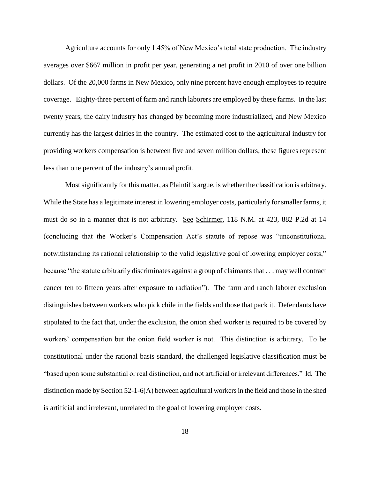Agriculture accounts for only 1.45% of New Mexico"s total state production. The industry averages over \$667 million in profit per year, generating a net profit in 2010 of over one billion dollars. Of the 20,000 farms in New Mexico, only nine percent have enough employees to require coverage. Eighty-three percent of farm and ranch laborers are employed by these farms. In the last twenty years, the dairy industry has changed by becoming more industrialized, and New Mexico currently has the largest dairies in the country. The estimated cost to the agricultural industry for providing workers compensation is between five and seven million dollars; these figures represent less than one percent of the industry"s annual profit.

Most significantly for this matter, as Plaintiffs argue, is whether the classification is arbitrary. While the State has a legitimate interest in lowering employer costs, particularly for smaller farms, it must do so in a manner that is not arbitrary. See Schirmer, 118 N.M. at 423, 882 P.2d at 14 (concluding that the Worker"s Compensation Act"s statute of repose was "unconstitutional notwithstanding its rational relationship to the valid legislative goal of lowering employer costs," because "the statute arbitrarily discriminates against a group of claimants that . . . may well contract cancer ten to fifteen years after exposure to radiation"). The farm and ranch laborer exclusion distinguishes between workers who pick chile in the fields and those that pack it. Defendants have stipulated to the fact that, under the exclusion, the onion shed worker is required to be covered by workers" compensation but the onion field worker is not. This distinction is arbitrary. To be constitutional under the rational basis standard, the challenged legislative classification must be "based upon some substantial or real distinction, and not artificial or irrelevant differences." Id. The distinction made by Section 52-1-6(A) between agricultural workers in the field and those in the shed is artificial and irrelevant, unrelated to the goal of lowering employer costs.